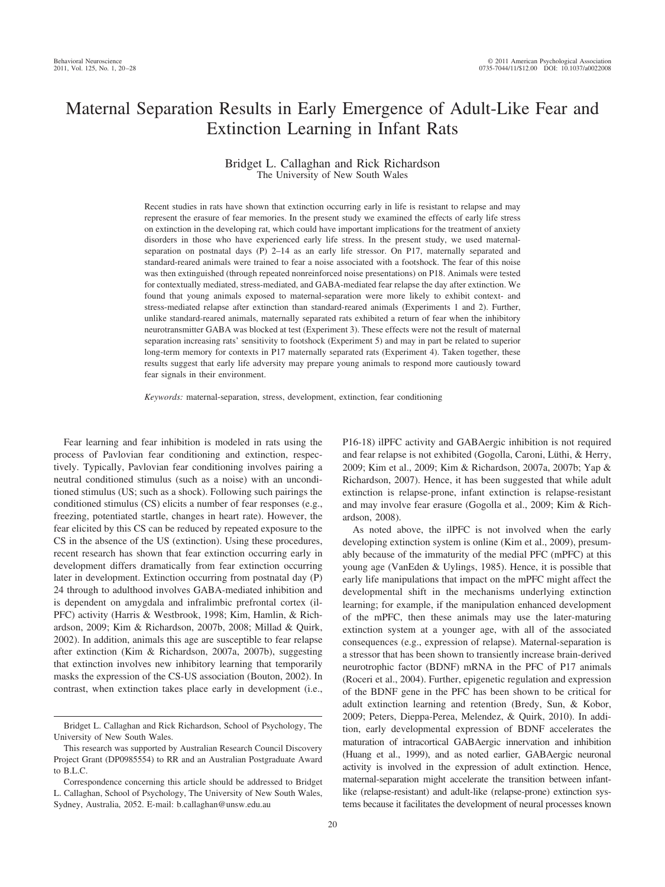# Maternal Separation Results in Early Emergence of Adult-Like Fear and Extinction Learning in Infant Rats

# Bridget L. Callaghan and Rick Richardson The University of New South Wales

Recent studies in rats have shown that extinction occurring early in life is resistant to relapse and may represent the erasure of fear memories. In the present study we examined the effects of early life stress on extinction in the developing rat, which could have important implications for the treatment of anxiety disorders in those who have experienced early life stress. In the present study, we used maternalseparation on postnatal days (P) 2–14 as an early life stressor. On P17, maternally separated and standard-reared animals were trained to fear a noise associated with a footshock. The fear of this noise was then extinguished (through repeated nonreinforced noise presentations) on P18. Animals were tested for contextually mediated, stress-mediated, and GABA-mediated fear relapse the day after extinction. We found that young animals exposed to maternal-separation were more likely to exhibit context- and stress-mediated relapse after extinction than standard-reared animals (Experiments 1 and 2). Further, unlike standard-reared animals, maternally separated rats exhibited a return of fear when the inhibitory neurotransmitter GABA was blocked at test (Experiment 3). These effects were not the result of maternal separation increasing rats' sensitivity to footshock (Experiment 5) and may in part be related to superior long-term memory for contexts in P17 maternally separated rats (Experiment 4). Taken together, these results suggest that early life adversity may prepare young animals to respond more cautiously toward fear signals in their environment.

*Keywords:* maternal-separation, stress, development, extinction, fear conditioning

Fear learning and fear inhibition is modeled in rats using the process of Pavlovian fear conditioning and extinction, respectively. Typically, Pavlovian fear conditioning involves pairing a neutral conditioned stimulus (such as a noise) with an unconditioned stimulus (US; such as a shock). Following such pairings the conditioned stimulus (CS) elicits a number of fear responses (e.g., freezing, potentiated startle, changes in heart rate). However, the fear elicited by this CS can be reduced by repeated exposure to the CS in the absence of the US (extinction). Using these procedures, recent research has shown that fear extinction occurring early in development differs dramatically from fear extinction occurring later in development. Extinction occurring from postnatal day (P) 24 through to adulthood involves GABA-mediated inhibition and is dependent on amygdala and infralimbic prefrontal cortex (il-PFC) activity (Harris & Westbrook, 1998; Kim, Hamlin, & Richardson, 2009; Kim & Richardson, 2007b, 2008; Millad & Quirk, 2002). In addition, animals this age are susceptible to fear relapse after extinction (Kim & Richardson, 2007a, 2007b), suggesting that extinction involves new inhibitory learning that temporarily masks the expression of the CS-US association (Bouton, 2002). In contrast, when extinction takes place early in development (i.e.,

P16-18) ilPFC activity and GABAergic inhibition is not required and fear relapse is not exhibited (Gogolla, Caroni, Lüthi, & Herry, 2009; Kim et al., 2009; Kim & Richardson, 2007a, 2007b; Yap & Richardson, 2007). Hence, it has been suggested that while adult extinction is relapse-prone, infant extinction is relapse-resistant and may involve fear erasure (Gogolla et al., 2009; Kim & Richardson, 2008).

As noted above, the ilPFC is not involved when the early developing extinction system is online (Kim et al., 2009), presumably because of the immaturity of the medial PFC (mPFC) at this young age (VanEden & Uylings, 1985). Hence, it is possible that early life manipulations that impact on the mPFC might affect the developmental shift in the mechanisms underlying extinction learning; for example, if the manipulation enhanced development of the mPFC, then these animals may use the later-maturing extinction system at a younger age, with all of the associated consequences (e.g., expression of relapse). Maternal-separation is a stressor that has been shown to transiently increase brain-derived neurotrophic factor (BDNF) mRNA in the PFC of P17 animals (Roceri et al., 2004). Further, epigenetic regulation and expression of the BDNF gene in the PFC has been shown to be critical for adult extinction learning and retention (Bredy, Sun, & Kobor, 2009; Peters, Dieppa-Perea, Melendez, & Quirk, 2010). In addition, early developmental expression of BDNF accelerates the maturation of intracortical GABAergic innervation and inhibition (Huang et al., 1999), and as noted earlier, GABAergic neuronal activity is involved in the expression of adult extinction. Hence, maternal-separation might accelerate the transition between infantlike (relapse-resistant) and adult-like (relapse-prone) extinction systems because it facilitates the development of neural processes known

Bridget L. Callaghan and Rick Richardson, School of Psychology, The University of New South Wales.

This research was supported by Australian Research Council Discovery Project Grant (DP0985554) to RR and an Australian Postgraduate Award to B.L.C.

Correspondence concerning this article should be addressed to Bridget L. Callaghan, School of Psychology, The University of New South Wales, Sydney, Australia, 2052. E-mail: b.callaghan@unsw.edu.au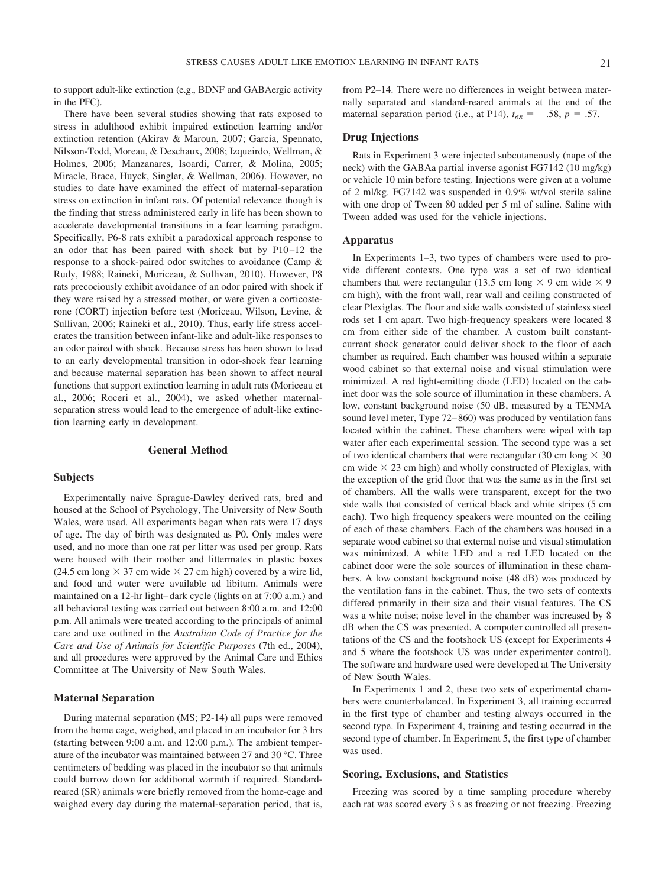to support adult-like extinction (e.g., BDNF and GABAergic activity in the PFC).

There have been several studies showing that rats exposed to stress in adulthood exhibit impaired extinction learning and/or extinction retention (Akirav & Maroun, 2007; Garcia, Spennato, Nilsson-Todd, Moreau, & Deschaux, 2008; Izqueirdo, Wellman, & Holmes, 2006; Manzanares, Isoardi, Carrer, & Molina, 2005; Miracle, Brace, Huyck, Singler, & Wellman, 2006). However, no studies to date have examined the effect of maternal-separation stress on extinction in infant rats. Of potential relevance though is the finding that stress administered early in life has been shown to accelerate developmental transitions in a fear learning paradigm. Specifically, P6-8 rats exhibit a paradoxical approach response to an odor that has been paired with shock but by P10-12 the response to a shock-paired odor switches to avoidance (Camp & Rudy, 1988; Raineki, Moriceau, & Sullivan, 2010). However, P8 rats precociously exhibit avoidance of an odor paired with shock if they were raised by a stressed mother, or were given a corticosterone (CORT) injection before test (Moriceau, Wilson, Levine, & Sullivan, 2006; Raineki et al., 2010). Thus, early life stress accelerates the transition between infant-like and adult-like responses to an odor paired with shock. Because stress has been shown to lead to an early developmental transition in odor-shock fear learning and because maternal separation has been shown to affect neural functions that support extinction learning in adult rats (Moriceau et al., 2006; Roceri et al., 2004), we asked whether maternalseparation stress would lead to the emergence of adult-like extinction learning early in development.

## **General Method**

#### **Subjects**

Experimentally naive Sprague-Dawley derived rats, bred and housed at the School of Psychology, The University of New South Wales, were used. All experiments began when rats were 17 days of age. The day of birth was designated as P0. Only males were used, and no more than one rat per litter was used per group. Rats were housed with their mother and littermates in plastic boxes (24.5 cm long  $\times$  37 cm wide  $\times$  27 cm high) covered by a wire lid, and food and water were available ad libitum. Animals were maintained on a 12-hr light– dark cycle (lights on at 7:00 a.m.) and all behavioral testing was carried out between 8:00 a.m. and 12:00 p.m. All animals were treated according to the principals of animal care and use outlined in the *Australian Code of Practice for the Care and Use of Animals for Scientific Purposes* (7th ed., 2004), and all procedures were approved by the Animal Care and Ethics Committee at The University of New South Wales.

# **Maternal Separation**

During maternal separation (MS; P2-14) all pups were removed from the home cage, weighed, and placed in an incubator for 3 hrs (starting between 9:00 a.m. and 12:00 p.m.). The ambient temperature of the incubator was maintained between 27 and 30 °C. Three centimeters of bedding was placed in the incubator so that animals could burrow down for additional warmth if required. Standardreared (SR) animals were briefly removed from the home-cage and weighed every day during the maternal-separation period, that is,

from P2–14. There were no differences in weight between maternally separated and standard-reared animals at the end of the maternal separation period (i.e., at P14),  $t_{68} = -.58$ ,  $p = .57$ .

### **Drug Injections**

Rats in Experiment 3 were injected subcutaneously (nape of the neck) with the GABAa partial inverse agonist FG7142 (10 mg/kg) or vehicle 10 min before testing. Injections were given at a volume of 2 ml/kg. FG7142 was suspended in 0.9% wt/vol sterile saline with one drop of Tween 80 added per 5 ml of saline. Saline with Tween added was used for the vehicle injections.

## **Apparatus**

In Experiments 1–3, two types of chambers were used to provide different contexts. One type was a set of two identical chambers that were rectangular (13.5 cm long  $\times$  9 cm wide  $\times$  9 cm high), with the front wall, rear wall and ceiling constructed of clear Plexiglas. The floor and side walls consisted of stainless steel rods set 1 cm apart. Two high-frequency speakers were located 8 cm from either side of the chamber. A custom built constantcurrent shock generator could deliver shock to the floor of each chamber as required. Each chamber was housed within a separate wood cabinet so that external noise and visual stimulation were minimized. A red light-emitting diode (LED) located on the cabinet door was the sole source of illumination in these chambers. A low, constant background noise (50 dB, measured by a TENMA sound level meter, Type 72– 860) was produced by ventilation fans located within the cabinet. These chambers were wiped with tap water after each experimental session. The second type was a set of two identical chambers that were rectangular (30 cm long  $\times$  30 cm wide  $\times$  23 cm high) and wholly constructed of Plexiglas, with the exception of the grid floor that was the same as in the first set of chambers. All the walls were transparent, except for the two side walls that consisted of vertical black and white stripes (5 cm each). Two high frequency speakers were mounted on the ceiling of each of these chambers. Each of the chambers was housed in a separate wood cabinet so that external noise and visual stimulation was minimized. A white LED and a red LED located on the cabinet door were the sole sources of illumination in these chambers. A low constant background noise (48 dB) was produced by the ventilation fans in the cabinet. Thus, the two sets of contexts differed primarily in their size and their visual features. The CS was a white noise; noise level in the chamber was increased by 8 dB when the CS was presented. A computer controlled all presentations of the CS and the footshock US (except for Experiments 4 and 5 where the footshock US was under experimenter control). The software and hardware used were developed at The University of New South Wales.

In Experiments 1 and 2, these two sets of experimental chambers were counterbalanced. In Experiment 3, all training occurred in the first type of chamber and testing always occurred in the second type. In Experiment 4, training and testing occurred in the second type of chamber. In Experiment 5, the first type of chamber was used.

## **Scoring, Exclusions, and Statistics**

Freezing was scored by a time sampling procedure whereby each rat was scored every 3 s as freezing or not freezing. Freezing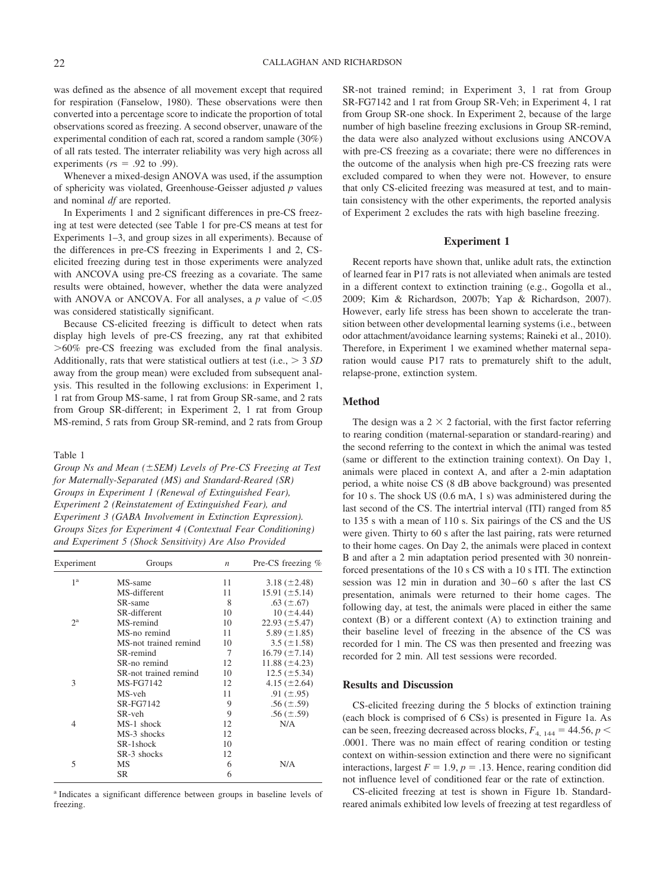was defined as the absence of all movement except that required for respiration (Fanselow, 1980). These observations were then converted into a percentage score to indicate the proportion of total observations scored as freezing. A second observer, unaware of the experimental condition of each rat, scored a random sample (30%) of all rats tested. The interrater reliability was very high across all experiments ( $rs = .92$  to .99).

Whenever a mixed-design ANOVA was used, if the assumption of sphericity was violated, Greenhouse-Geisser adjusted *p* values and nominal *df* are reported.

In Experiments 1 and 2 significant differences in pre-CS freezing at test were detected (see Table 1 for pre-CS means at test for Experiments 1–3, and group sizes in all experiments). Because of the differences in pre-CS freezing in Experiments 1 and 2, CSelicited freezing during test in those experiments were analyzed with ANCOVA using pre-CS freezing as a covariate. The same results were obtained, however, whether the data were analyzed with ANOVA or ANCOVA. For all analyses, a  $p$  value of  $\leq 0.05$ was considered statistically significant.

Because CS-elicited freezing is difficult to detect when rats display high levels of pre-CS freezing, any rat that exhibited 60% pre-CS freezing was excluded from the final analysis. Additionally, rats that were statistical outliers at test (i.e.,  $>$  3 *SD* away from the group mean) were excluded from subsequent analysis. This resulted in the following exclusions: in Experiment 1, 1 rat from Group MS-same, 1 rat from Group SR-same, and 2 rats from Group SR-different; in Experiment 2, 1 rat from Group MS-remind, 5 rats from Group SR-remind, and 2 rats from Group

### Table 1

*Group Ns and Mean (SEM) Levels of Pre-CS Freezing at Test for Maternally-Separated (MS) and Standard-Reared (SR) Groups in Experiment 1 (Renewal of Extinguished Fear), Experiment 2 (Reinstatement of Extinguished Fear), and Experiment 3 (GABA Involvement in Extinction Expression). Groups Sizes for Experiment 4 (Contextual Fear Conditioning) and Experiment 5 (Shock Sensitivity) Are Also Provided*

| Experiment       | Groups                | $\boldsymbol{n}$ | Pre-CS freezing %    |
|------------------|-----------------------|------------------|----------------------|
| 1 <sup>a</sup>   | MS-same               | 11               | $3.18 (\pm 2.48)$    |
|                  | MS-different          | 11               | $15.91 (\pm 5.14)$   |
|                  | SR-same               | 8                | .63 $(\pm .67)$      |
|                  | SR-different          | 10               | 10(.14.44)           |
| $2^{\mathrm{a}}$ | MS-remind             | 10               | 22.93 $(\pm 5.47)$   |
|                  | MS-no remind          | 11               | 5.89 $(\pm 1.85)$    |
|                  | MS-not trained remind | 10               | $3.5 (\pm 1.58)$     |
|                  | SR-remind             | 7                | $16.79 \ (\pm 7.14)$ |
|                  | SR-no remind          | 12               | 11.88 $(\pm 4.23)$   |
|                  | SR-not trained remind | 10               | $12.5 (\pm 5.34)$    |
| $\mathcal{E}$    | <b>MS-FG7142</b>      | 12               | 4.15 $(\pm 2.64)$    |
|                  | MS-veh                | 11               | .91 $(\pm .95)$      |
|                  | SR-FG7142             | 9                | $.56 \, (\pm .59)$   |
|                  | SR-veh                | 9                | $.56 \, (\pm .59)$   |
| $\overline{4}$   | MS-1 shock            | 12               | N/A                  |
|                  | MS-3 shocks           | 12               |                      |
|                  | SR-1shock             | 10               |                      |
|                  | SR-3 shocks           | 12               |                      |
| 5                | МS                    | 6                | N/A                  |
|                  | SR                    | 6                |                      |

<sup>a</sup> Indicates a significant difference between groups in baseline levels of freezing.

SR-not trained remind; in Experiment 3, 1 rat from Group SR-FG7142 and 1 rat from Group SR-Veh; in Experiment 4, 1 rat from Group SR-one shock. In Experiment 2, because of the large number of high baseline freezing exclusions in Group SR-remind, the data were also analyzed without exclusions using ANCOVA with pre-CS freezing as a covariate; there were no differences in the outcome of the analysis when high pre-CS freezing rats were excluded compared to when they were not. However, to ensure that only CS-elicited freezing was measured at test, and to maintain consistency with the other experiments, the reported analysis of Experiment 2 excludes the rats with high baseline freezing.

#### **Experiment 1**

Recent reports have shown that, unlike adult rats, the extinction of learned fear in P17 rats is not alleviated when animals are tested in a different context to extinction training (e.g., Gogolla et al., 2009; Kim & Richardson, 2007b; Yap & Richardson, 2007). However, early life stress has been shown to accelerate the transition between other developmental learning systems (i.e., between odor attachment/avoidance learning systems; Raineki et al., 2010). Therefore, in Experiment 1 we examined whether maternal separation would cause P17 rats to prematurely shift to the adult, relapse-prone, extinction system.

# **Method**

The design was a  $2 \times 2$  factorial, with the first factor referring to rearing condition (maternal-separation or standard-rearing) and the second referring to the context in which the animal was tested (same or different to the extinction training context). On Day 1, animals were placed in context A, and after a 2-min adaptation period, a white noise CS (8 dB above background) was presented for 10 s. The shock US (0.6 mA, 1 s) was administered during the last second of the CS. The intertrial interval (ITI) ranged from 85 to 135 s with a mean of 110 s. Six pairings of the CS and the US were given. Thirty to 60 s after the last pairing, rats were returned to their home cages. On Day 2, the animals were placed in context B and after a 2 min adaptation period presented with 30 nonreinforced presentations of the 10 s CS with a 10 s ITI. The extinction session was 12 min in duration and 30–60 s after the last CS presentation, animals were returned to their home cages. The following day, at test, the animals were placed in either the same context (B) or a different context (A) to extinction training and their baseline level of freezing in the absence of the CS was recorded for 1 min. The CS was then presented and freezing was recorded for 2 min. All test sessions were recorded.

# **Results and Discussion**

CS-elicited freezing during the 5 blocks of extinction training (each block is comprised of 6 CSs) is presented in Figure 1a. As can be seen, freezing decreased across blocks,  $F_{4, 144} = 44.56$ ,  $p <$ .0001. There was no main effect of rearing condition or testing context on within-session extinction and there were no significant interactions, largest  $F = 1.9$ ,  $p = .13$ . Hence, rearing condition did not influence level of conditioned fear or the rate of extinction.

CS-elicited freezing at test is shown in Figure 1b. Standardreared animals exhibited low levels of freezing at test regardless of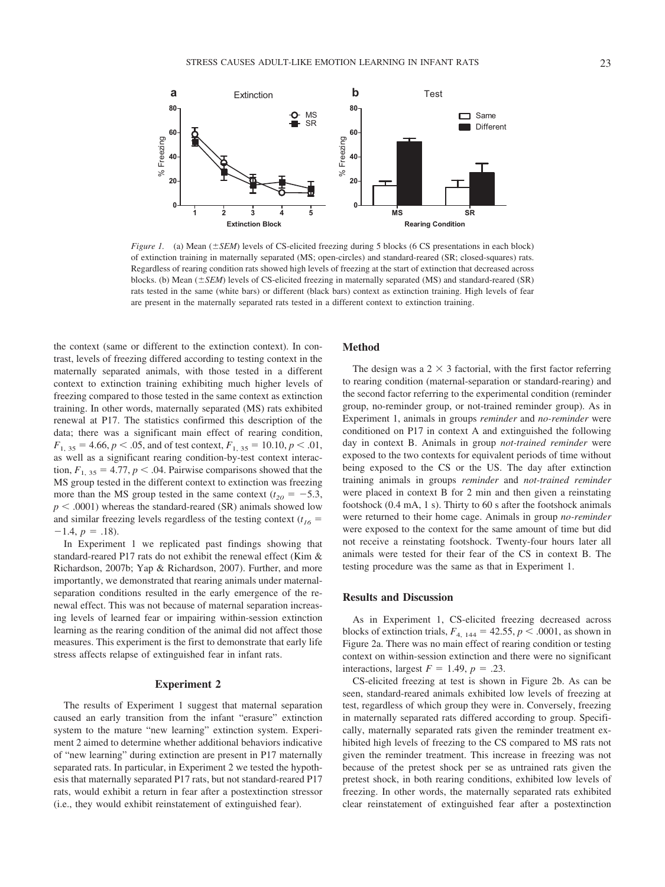

*Figure 1.* (a) Mean ( $\pm$  SEM) levels of CS-elicited freezing during 5 blocks (6 CS presentations in each block) of extinction training in maternally separated (MS; open-circles) and standard-reared (SR; closed-squares) rats. Regardless of rearing condition rats showed high levels of freezing at the start of extinction that decreased across blocks. (b) Mean ( $\pm$ SEM) levels of CS-elicited freezing in maternally separated (MS) and standard-reared (SR) rats tested in the same (white bars) or different (black bars) context as extinction training. High levels of fear are present in the maternally separated rats tested in a different context to extinction training.

the context (same or different to the extinction context). In contrast, levels of freezing differed according to testing context in the maternally separated animals, with those tested in a different context to extinction training exhibiting much higher levels of freezing compared to those tested in the same context as extinction training. In other words, maternally separated (MS) rats exhibited renewal at P17. The statistics confirmed this description of the data; there was a significant main effect of rearing condition,  $F_{1, 35} = 4.66, p < .05$ , and of test context,  $F_{1, 35} = 10.10, p < .01$ , as well as a significant rearing condition-by-test context interaction,  $F_{1, 35} = 4.77$ ,  $p < .04$ . Pairwise comparisons showed that the MS group tested in the different context to extinction was freezing more than the MS group tested in the same context  $(t_{20} = -5.3,$  $p < .0001$ ) whereas the standard-reared (SR) animals showed low and similar freezing levels regardless of the testing context ( $t_{16}$  =  $-1.4, p = .18$ .

In Experiment 1 we replicated past findings showing that standard-reared P17 rats do not exhibit the renewal effect (Kim & Richardson, 2007b; Yap & Richardson, 2007). Further, and more importantly, we demonstrated that rearing animals under maternalseparation conditions resulted in the early emergence of the renewal effect. This was not because of maternal separation increasing levels of learned fear or impairing within-session extinction learning as the rearing condition of the animal did not affect those measures. This experiment is the first to demonstrate that early life stress affects relapse of extinguished fear in infant rats.

## **Experiment 2**

The results of Experiment 1 suggest that maternal separation caused an early transition from the infant "erasure" extinction system to the mature "new learning" extinction system. Experiment 2 aimed to determine whether additional behaviors indicative of "new learning" during extinction are present in P17 maternally separated rats. In particular, in Experiment 2 we tested the hypothesis that maternally separated P17 rats, but not standard-reared P17 rats, would exhibit a return in fear after a postextinction stressor (i.e., they would exhibit reinstatement of extinguished fear).

#### **Method**

The design was a  $2 \times 3$  factorial, with the first factor referring to rearing condition (maternal-separation or standard-rearing) and the second factor referring to the experimental condition (reminder group, no-reminder group, or not-trained reminder group). As in Experiment 1, animals in groups *reminder* and *no-reminder* were conditioned on P17 in context A and extinguished the following day in context B. Animals in group *not-trained reminder* were exposed to the two contexts for equivalent periods of time without being exposed to the CS or the US. The day after extinction training animals in groups *reminder* and *not-trained reminder* were placed in context B for 2 min and then given a reinstating footshock (0.4 mA, 1 s). Thirty to 60 s after the footshock animals were returned to their home cage. Animals in group *no-reminder* were exposed to the context for the same amount of time but did not receive a reinstating footshock. Twenty-four hours later all animals were tested for their fear of the CS in context B. The testing procedure was the same as that in Experiment 1.

# **Results and Discussion**

As in Experiment 1, CS-elicited freezing decreased across blocks of extinction trials,  $F_{4, 144} = 42.55, p < .0001$ , as shown in Figure 2a. There was no main effect of rearing condition or testing context on within-session extinction and there were no significant interactions, largest  $F = 1.49$ ,  $p = .23$ .

CS-elicited freezing at test is shown in Figure 2b. As can be seen, standard-reared animals exhibited low levels of freezing at test, regardless of which group they were in. Conversely, freezing in maternally separated rats differed according to group. Specifically, maternally separated rats given the reminder treatment exhibited high levels of freezing to the CS compared to MS rats not given the reminder treatment. This increase in freezing was not because of the pretest shock per se as untrained rats given the pretest shock, in both rearing conditions, exhibited low levels of freezing. In other words, the maternally separated rats exhibited clear reinstatement of extinguished fear after a postextinction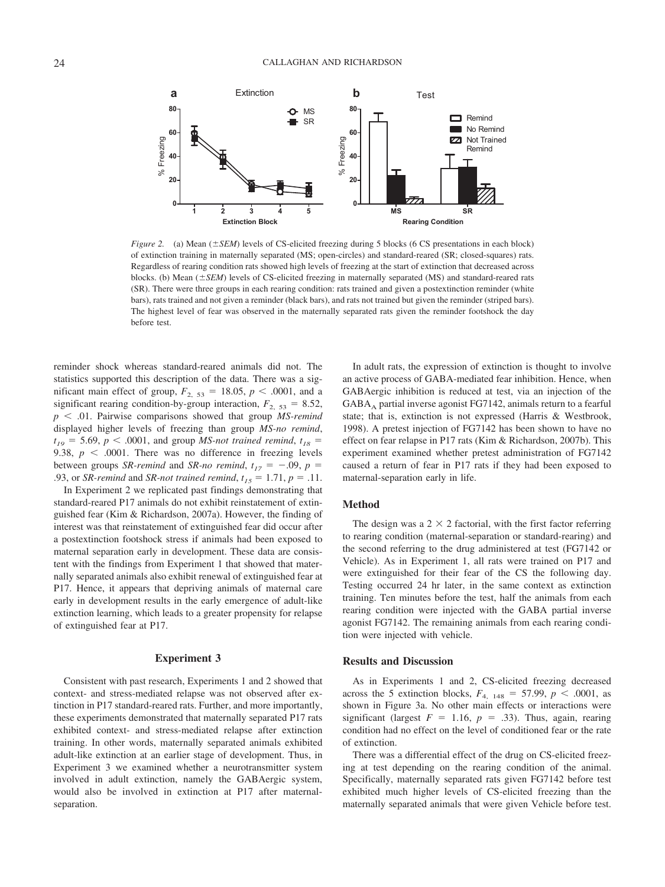

*Figure 2.* (a) Mean ( $\pm$  SEM) levels of CS-elicited freezing during 5 blocks (6 CS presentations in each block) of extinction training in maternally separated (MS; open-circles) and standard-reared (SR; closed-squares) rats. Regardless of rearing condition rats showed high levels of freezing at the start of extinction that decreased across blocks. (b) Mean ( $\pm$ SEM) levels of CS-elicited freezing in maternally separated (MS) and standard-reared rats (SR). There were three groups in each rearing condition: rats trained and given a postextinction reminder (white bars), rats trained and not given a reminder (black bars), and rats not trained but given the reminder (striped bars). The highest level of fear was observed in the maternally separated rats given the reminder footshock the day before test.

reminder shock whereas standard-reared animals did not. The statistics supported this description of the data. There was a significant main effect of group,  $F_{2, 53} = 18.05, p < .0001$ , and a significant rearing condition-by-group interaction,  $F_{2, 53} = 8.52$ , *p* .01. Pairwise comparisons showed that group *MS-remind* displayed higher levels of freezing than group *MS-no remind*,  $t_{19} = 5.69, p < .0001$ , and group *MS-not trained remind*,  $t_{18} =$ 9.38,  $p < .0001$ . There was no difference in freezing levels between groups *SR-remind* and *SR-no remind*,  $t_{17} = -.09$ ,  $p =$ .93, or *SR-remind* and *SR-not trained remind*,  $t_{15} = 1.71$ ,  $p = .11$ .

In Experiment 2 we replicated past findings demonstrating that standard-reared P17 animals do not exhibit reinstatement of extinguished fear (Kim & Richardson, 2007a). However, the finding of interest was that reinstatement of extinguished fear did occur after a postextinction footshock stress if animals had been exposed to maternal separation early in development. These data are consistent with the findings from Experiment 1 that showed that maternally separated animals also exhibit renewal of extinguished fear at P17. Hence, it appears that depriving animals of maternal care early in development results in the early emergence of adult-like extinction learning, which leads to a greater propensity for relapse of extinguished fear at P17.

## **Experiment 3**

Consistent with past research, Experiments 1 and 2 showed that context- and stress-mediated relapse was not observed after extinction in P17 standard-reared rats. Further, and more importantly, these experiments demonstrated that maternally separated P17 rats exhibited context- and stress-mediated relapse after extinction training. In other words, maternally separated animals exhibited adult-like extinction at an earlier stage of development. Thus, in Experiment 3 we examined whether a neurotransmitter system involved in adult extinction, namely the GABAergic system, would also be involved in extinction at P17 after maternalseparation.

In adult rats, the expression of extinction is thought to involve an active process of GABA-mediated fear inhibition. Hence, when GABAergic inhibition is reduced at test, via an injection of the GABA<sub>A</sub> partial inverse agonist FG7142, animals return to a fearful state; that is, extinction is not expressed (Harris & Westbrook, 1998). A pretest injection of FG7142 has been shown to have no effect on fear relapse in P17 rats (Kim & Richardson, 2007b). This experiment examined whether pretest administration of FG7142 caused a return of fear in P17 rats if they had been exposed to maternal-separation early in life.

# **Method**

The design was a  $2 \times 2$  factorial, with the first factor referring to rearing condition (maternal-separation or standard-rearing) and the second referring to the drug administered at test (FG7142 or Vehicle). As in Experiment 1, all rats were trained on P17 and were extinguished for their fear of the CS the following day. Testing occurred 24 hr later, in the same context as extinction training. Ten minutes before the test, half the animals from each rearing condition were injected with the GABA partial inverse agonist FG7142. The remaining animals from each rearing condition were injected with vehicle.

#### **Results and Discussion**

As in Experiments 1 and 2, CS-elicited freezing decreased across the 5 extinction blocks,  $F_{4, 148} = 57.99$ ,  $p < .0001$ , as shown in Figure 3a. No other main effects or interactions were significant (largest  $F = 1.16$ ,  $p = .33$ ). Thus, again, rearing condition had no effect on the level of conditioned fear or the rate of extinction.

There was a differential effect of the drug on CS-elicited freezing at test depending on the rearing condition of the animal. Specifically, maternally separated rats given FG7142 before test exhibited much higher levels of CS-elicited freezing than the maternally separated animals that were given Vehicle before test.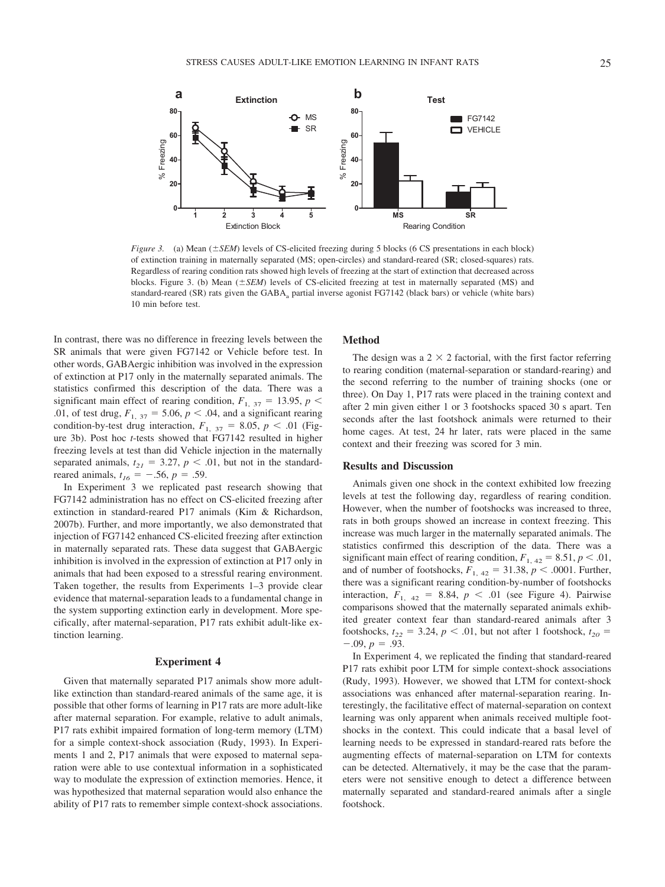



*Figure 3.* (a) Mean ( $\pm$ *SEM*) levels of CS-elicited freezing during 5 blocks (6 CS presentations in each block) of extinction training in maternally separated (MS; open-circles) and standard-reared (SR; closed-squares) rats. Regardless of rearing condition rats showed high levels of freezing at the start of extinction that decreased across blocks. Figure 3. (b) Mean ( $\pm$ SEM) levels of CS-elicited freezing at test in maternally separated (MS) and standard-reared (SR) rats given the GABA<sub>a</sub> partial inverse agonist FG7142 (black bars) or vehicle (white bars) 10 min before test.

In contrast, there was no difference in freezing levels between the SR animals that were given FG7142 or Vehicle before test. In other words, GABAergic inhibition was involved in the expression of extinction at P17 only in the maternally separated animals. The statistics confirmed this description of the data. There was a significant main effect of rearing condition,  $F_{1, 37} = 13.95$ ,  $p <$ .01, of test drug,  $F_{1, 37} = 5.06$ ,  $p < .04$ , and a significant rearing condition-by-test drug interaction,  $F_{1, 37} = 8.05, p < .01$  (Figure 3b). Post hoc *t*-tests showed that FG7142 resulted in higher freezing levels at test than did Vehicle injection in the maternally separated animals,  $t_{21} = 3.27$ ,  $p < .01$ , but not in the standardreared animals,  $t_{16} = -.56, p = .59$ .

In Experiment 3 we replicated past research showing that FG7142 administration has no effect on CS-elicited freezing after extinction in standard-reared P17 animals (Kim & Richardson, 2007b). Further, and more importantly, we also demonstrated that injection of FG7142 enhanced CS-elicited freezing after extinction in maternally separated rats. These data suggest that GABAergic inhibition is involved in the expression of extinction at P17 only in animals that had been exposed to a stressful rearing environment. Taken together, the results from Experiments 1–3 provide clear evidence that maternal-separation leads to a fundamental change in the system supporting extinction early in development. More specifically, after maternal-separation, P17 rats exhibit adult-like extinction learning.

#### **Experiment 4**

Given that maternally separated P17 animals show more adultlike extinction than standard-reared animals of the same age, it is possible that other forms of learning in P17 rats are more adult-like after maternal separation. For example, relative to adult animals, P17 rats exhibit impaired formation of long-term memory (LTM) for a simple context-shock association (Rudy, 1993). In Experiments 1 and 2, P17 animals that were exposed to maternal separation were able to use contextual information in a sophisticated way to modulate the expression of extinction memories. Hence, it was hypothesized that maternal separation would also enhance the ability of P17 rats to remember simple context-shock associations.

# **Method**

The design was a  $2 \times 2$  factorial, with the first factor referring to rearing condition (maternal-separation or standard-rearing) and the second referring to the number of training shocks (one or three). On Day 1, P17 rats were placed in the training context and after 2 min given either 1 or 3 footshocks spaced 30 s apart. Ten seconds after the last footshock animals were returned to their home cages. At test, 24 hr later, rats were placed in the same context and their freezing was scored for 3 min.

## **Results and Discussion**

Animals given one shock in the context exhibited low freezing levels at test the following day, regardless of rearing condition. However, when the number of footshocks was increased to three, rats in both groups showed an increase in context freezing. This increase was much larger in the maternally separated animals. The statistics confirmed this description of the data. There was a significant main effect of rearing condition,  $F_{1, 42} = 8.51, p < .01$ , and of number of footshocks,  $F_{1, 42} = 31.38, p < .0001$ . Further, there was a significant rearing condition-by-number of footshocks interaction,  $F_{1, 42} = 8.84$ ,  $p < .01$  (see Figure 4). Pairwise comparisons showed that the maternally separated animals exhibited greater context fear than standard-reared animals after 3 footshocks,  $t_{22} = 3.24$ ,  $p < .01$ , but not after 1 footshock,  $t_{20} =$  $-.09, p = .93.$ 

In Experiment 4, we replicated the finding that standard-reared P17 rats exhibit poor LTM for simple context-shock associations (Rudy, 1993). However, we showed that LTM for context-shock associations was enhanced after maternal-separation rearing. Interestingly, the facilitative effect of maternal-separation on context learning was only apparent when animals received multiple footshocks in the context. This could indicate that a basal level of learning needs to be expressed in standard-reared rats before the augmenting effects of maternal-separation on LTM for contexts can be detected. Alternatively, it may be the case that the parameters were not sensitive enough to detect a difference between maternally separated and standard-reared animals after a single footshock.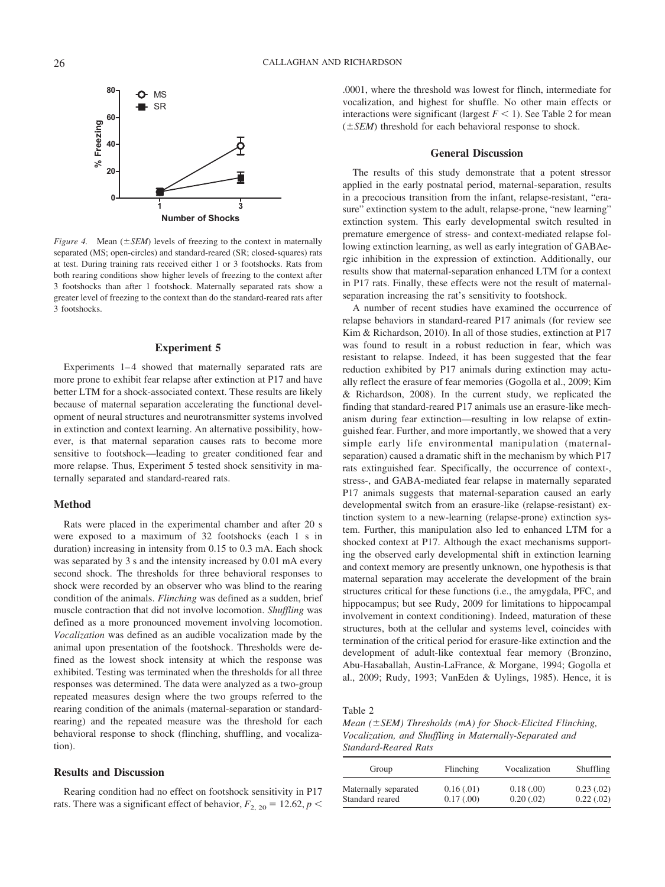

*Figure 4.* Mean  $(\pm SEM)$  levels of freezing to the context in maternally separated (MS; open-circles) and standard-reared (SR; closed-squares) rats at test. During training rats received either 1 or 3 footshocks. Rats from both rearing conditions show higher levels of freezing to the context after 3 footshocks than after 1 footshock. Maternally separated rats show a greater level of freezing to the context than do the standard-reared rats after 3 footshocks.

#### **Experiment 5**

Experiments 1-4 showed that maternally separated rats are more prone to exhibit fear relapse after extinction at P17 and have better LTM for a shock-associated context. These results are likely because of maternal separation accelerating the functional development of neural structures and neurotransmitter systems involved in extinction and context learning. An alternative possibility, however, is that maternal separation causes rats to become more sensitive to footshock—leading to greater conditioned fear and more relapse. Thus, Experiment 5 tested shock sensitivity in maternally separated and standard-reared rats.

# **Method**

Rats were placed in the experimental chamber and after 20 s were exposed to a maximum of 32 footshocks (each 1 s in duration) increasing in intensity from 0.15 to 0.3 mA. Each shock was separated by 3 s and the intensity increased by 0.01 mA every second shock. The thresholds for three behavioral responses to shock were recorded by an observer who was blind to the rearing condition of the animals. *Flinching* was defined as a sudden, brief muscle contraction that did not involve locomotion. *Shuffling* was defined as a more pronounced movement involving locomotion. *Vocalization* was defined as an audible vocalization made by the animal upon presentation of the footshock. Thresholds were defined as the lowest shock intensity at which the response was exhibited. Testing was terminated when the thresholds for all three responses was determined. The data were analyzed as a two-group repeated measures design where the two groups referred to the rearing condition of the animals (maternal-separation or standardrearing) and the repeated measure was the threshold for each behavioral response to shock (flinching, shuffling, and vocalization).

# **Results and Discussion**

Rearing condition had no effect on footshock sensitivity in P17 rats. There was a significant effect of behavior,  $F_{2, 20} = 12.62$ ,  $p <$ 

.0001, where the threshold was lowest for flinch, intermediate for vocalization, and highest for shuffle. No other main effects or interactions were significant (largest  $F < 1$ ). See Table 2 for mean  $(\pm SEM)$  threshold for each behavioral response to shock.

## **General Discussion**

The results of this study demonstrate that a potent stressor applied in the early postnatal period, maternal-separation, results in a precocious transition from the infant, relapse-resistant, "erasure" extinction system to the adult, relapse-prone, "new learning" extinction system. This early developmental switch resulted in premature emergence of stress- and context-mediated relapse following extinction learning, as well as early integration of GABAergic inhibition in the expression of extinction. Additionally, our results show that maternal-separation enhanced LTM for a context in P17 rats. Finally, these effects were not the result of maternalseparation increasing the rat's sensitivity to footshock.

A number of recent studies have examined the occurrence of relapse behaviors in standard-reared P17 animals (for review see Kim & Richardson, 2010). In all of those studies, extinction at P17 was found to result in a robust reduction in fear, which was resistant to relapse. Indeed, it has been suggested that the fear reduction exhibited by P17 animals during extinction may actually reflect the erasure of fear memories (Gogolla et al., 2009; Kim & Richardson, 2008). In the current study, we replicated the finding that standard-reared P17 animals use an erasure-like mechanism during fear extinction—resulting in low relapse of extinguished fear. Further, and more importantly, we showed that a very simple early life environmental manipulation (maternalseparation) caused a dramatic shift in the mechanism by which P17 rats extinguished fear. Specifically, the occurrence of context-, stress-, and GABA-mediated fear relapse in maternally separated P17 animals suggests that maternal-separation caused an early developmental switch from an erasure-like (relapse-resistant) extinction system to a new-learning (relapse-prone) extinction system. Further, this manipulation also led to enhanced LTM for a shocked context at P17. Although the exact mechanisms supporting the observed early developmental shift in extinction learning and context memory are presently unknown, one hypothesis is that maternal separation may accelerate the development of the brain structures critical for these functions (i.e., the amygdala, PFC, and hippocampus; but see Rudy, 2009 for limitations to hippocampal involvement in context conditioning). Indeed, maturation of these structures, both at the cellular and systems level, coincides with termination of the critical period for erasure-like extinction and the development of adult-like contextual fear memory (Bronzino, Abu-Hasaballah, Austin-LaFrance, & Morgane, 1994; Gogolla et al., 2009; Rudy, 1993; VanEden & Uylings, 1985). Hence, it is

#### Table 2

*Mean (SEM) Thresholds (mA) for Shock-Elicited Flinching, Vocalization, and Shuffling in Maternally-Separated and Standard-Reared Rats*

| Group                | Flinching  | Vocalization | Shuffling  |
|----------------------|------------|--------------|------------|
| Maternally separated | 0.16(0.01) | 0.18(0.00)   | 0.23(0.02) |
| Standard reared      | 0.17(0.00) | 0.20(0.02)   | 0.22(0.02) |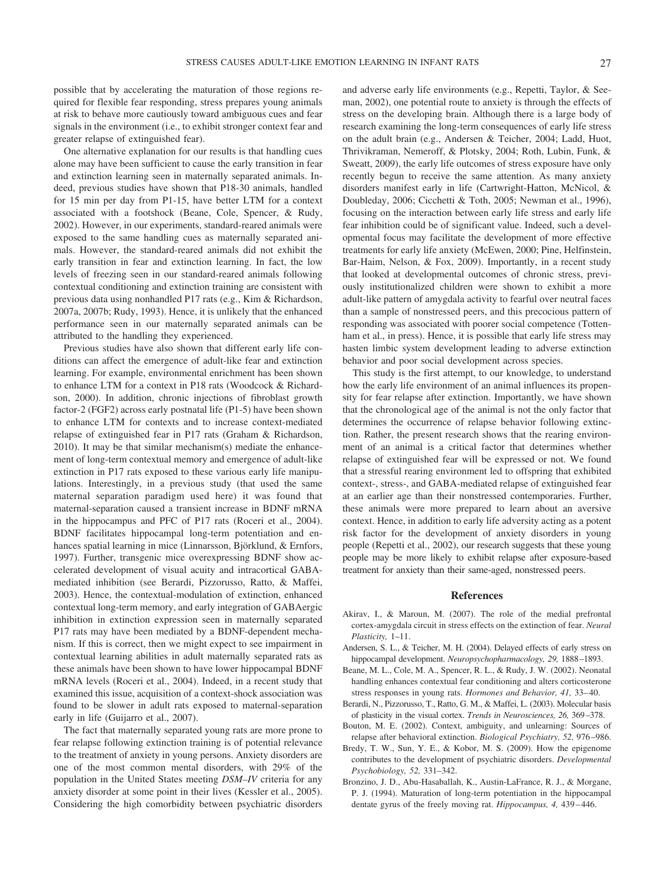possible that by accelerating the maturation of those regions required for flexible fear responding, stress prepares young animals at risk to behave more cautiously toward ambiguous cues and fear signals in the environment (i.e., to exhibit stronger context fear and greater relapse of extinguished fear).

One alternative explanation for our results is that handling cues alone may have been sufficient to cause the early transition in fear and extinction learning seen in maternally separated animals. Indeed, previous studies have shown that P18-30 animals, handled for 15 min per day from P1-15, have better LTM for a context associated with a footshock (Beane, Cole, Spencer, & Rudy, 2002). However, in our experiments, standard-reared animals were exposed to the same handling cues as maternally separated animals. However, the standard-reared animals did not exhibit the early transition in fear and extinction learning. In fact, the low levels of freezing seen in our standard-reared animals following contextual conditioning and extinction training are consistent with previous data using nonhandled P17 rats (e.g., Kim & Richardson, 2007a, 2007b; Rudy, 1993). Hence, it is unlikely that the enhanced performance seen in our maternally separated animals can be attributed to the handling they experienced.

Previous studies have also shown that different early life conditions can affect the emergence of adult-like fear and extinction learning. For example, environmental enrichment has been shown to enhance LTM for a context in P18 rats (Woodcock & Richardson, 2000). In addition, chronic injections of fibroblast growth factor-2 (FGF2) across early postnatal life (P1-5) have been shown to enhance LTM for contexts and to increase context-mediated relapse of extinguished fear in P17 rats (Graham & Richardson, 2010). It may be that similar mechanism(s) mediate the enhancement of long-term contextual memory and emergence of adult-like extinction in P17 rats exposed to these various early life manipulations. Interestingly, in a previous study (that used the same maternal separation paradigm used here) it was found that maternal-separation caused a transient increase in BDNF mRNA in the hippocampus and PFC of P17 rats (Roceri et al., 2004). BDNF facilitates hippocampal long-term potentiation and enhances spatial learning in mice (Linnarsson, Björklund, & Ernfors, 1997). Further, transgenic mice overexpressing BDNF show accelerated development of visual acuity and intracortical GABAmediated inhibition (see Berardi, Pizzorusso, Ratto, & Maffei, 2003). Hence, the contextual-modulation of extinction, enhanced contextual long-term memory, and early integration of GABAergic inhibition in extinction expression seen in maternally separated P17 rats may have been mediated by a BDNF-dependent mechanism. If this is correct, then we might expect to see impairment in contextual learning abilities in adult maternally separated rats as these animals have been shown to have lower hippocampal BDNF mRNA levels (Roceri et al., 2004). Indeed, in a recent study that examined this issue, acquisition of a context-shock association was found to be slower in adult rats exposed to maternal-separation early in life (Guijarro et al., 2007).

The fact that maternally separated young rats are more prone to fear relapse following extinction training is of potential relevance to the treatment of anxiety in young persons. Anxiety disorders are one of the most common mental disorders, with 29% of the population in the United States meeting *DSM–IV* criteria for any anxiety disorder at some point in their lives (Kessler et al., 2005). Considering the high comorbidity between psychiatric disorders and adverse early life environments (e.g., Repetti, Taylor, & Seeman, 2002), one potential route to anxiety is through the effects of stress on the developing brain. Although there is a large body of research examining the long-term consequences of early life stress on the adult brain (e.g., Andersen & Teicher, 2004; Ladd, Huot, Thrivikraman, Nemeroff, & Plotsky, 2004; Roth, Lubin, Funk, & Sweatt, 2009), the early life outcomes of stress exposure have only recently begun to receive the same attention. As many anxiety disorders manifest early in life (Cartwright-Hatton, McNicol, & Doubleday, 2006; Cicchetti & Toth, 2005; Newman et al., 1996), focusing on the interaction between early life stress and early life fear inhibition could be of significant value. Indeed, such a developmental focus may facilitate the development of more effective treatments for early life anxiety (McEwen, 2000; Pine, Helfinstein, Bar-Haim, Nelson, & Fox, 2009). Importantly, in a recent study that looked at developmental outcomes of chronic stress, previously institutionalized children were shown to exhibit a more adult-like pattern of amygdala activity to fearful over neutral faces than a sample of nonstressed peers, and this precocious pattern of responding was associated with poorer social competence (Tottenham et al., in press). Hence, it is possible that early life stress may hasten limbic system development leading to adverse extinction behavior and poor social development across species.

This study is the first attempt, to our knowledge, to understand how the early life environment of an animal influences its propensity for fear relapse after extinction. Importantly, we have shown that the chronological age of the animal is not the only factor that determines the occurrence of relapse behavior following extinction. Rather, the present research shows that the rearing environment of an animal is a critical factor that determines whether relapse of extinguished fear will be expressed or not. We found that a stressful rearing environment led to offspring that exhibited context-, stress-, and GABA-mediated relapse of extinguished fear at an earlier age than their nonstressed contemporaries. Further, these animals were more prepared to learn about an aversive context. Hence, in addition to early life adversity acting as a potent risk factor for the development of anxiety disorders in young people (Repetti et al., 2002), our research suggests that these young people may be more likely to exhibit relapse after exposure-based treatment for anxiety than their same-aged, nonstressed peers.

#### **References**

- Akirav, I., & Maroun, M. (2007). The role of the medial prefrontal cortex-amygdala circuit in stress effects on the extinction of fear. *Neural Plasticity,* 1–11.
- Andersen, S. L., & Teicher, M. H. (2004). Delayed effects of early stress on hippocampal development. *Neuropsychopharmacology, 29,* 1888 –1893.
- Beane, M. L., Cole, M. A., Spencer, R. L., & Rudy, J. W. (2002). Neonatal handling enhances contextual fear conditioning and alters corticosterone stress responses in young rats. *Hormones and Behavior*, 41, 33-40.
- Berardi, N., Pizzorusso, T., Ratto, G. M., & Maffei, L. (2003). Molecular basis of plasticity in the visual cortex. *Trends in Neurosciences, 26,* 369 –378.
- Bouton, M. E. (2002). Context, ambiguity, and unlearning: Sources of relapse after behavioral extinction. *Biological Psychiatry, 52,* 976 –986.
- Bredy, T. W., Sun, Y. E., & Kobor, M. S. (2009). How the epigenome contributes to the development of psychiatric disorders. *Developmental Psychobiology, 52,* 331–342.
- Bronzino, J. D., Abu-Hasaballah, K., Austin-LaFrance, R. J., & Morgane, P. J. (1994). Maturation of long-term potentiation in the hippocampal dentate gyrus of the freely moving rat. *Hippocampus, 4,* 439 – 446.